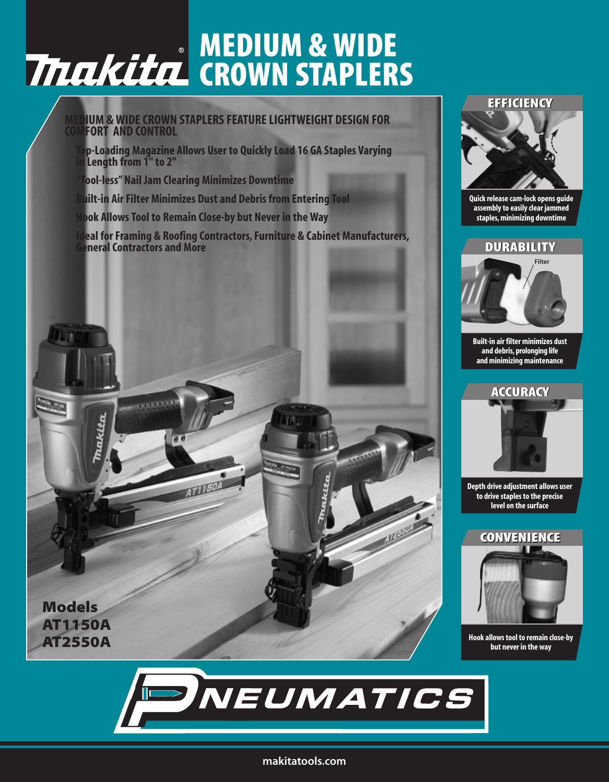# **MEDIUM & WIDE CROWN STAPLERS**

#### **MEDIUM & WIDE CROWN STAPLERS FEATURE LIGHTWEIGHT DESIGN FOR FORT AND CONTROL**

**Top-Loading Magazine Allows User to Quickly Load 16 GA Staples Varying in Length from 1'' to 2''**

**"Tool-less" Nail Jam Clearing Minimizes Downtime**

**Built-in Air Filter Minimizes Dust and Debris from Entering Tool**

**Hook Allows Tool to Remain Close-by but Never in the Way**

**Ideal for Framing & Roofing Contractors, Furniture & Cabinet Manufacturers, General Contractors and More**



### **EFFICIENCY EFFICIENCY**



**Quick release cam-lock opens guide assembly to easily clear jammed staples, minimizing downtime**

## **DURABILITY DURABILITY**



**Built-in air filter minimizes dust and debris, prolonging life and minimizing maintenance**



**Depth drive adjustment allows user to drive staples to the precise level on the surface**

## **CONVENIENCE CONVENIENCE**



**Hook allows tool to remain close-by but never in the way**



#### **makitatools.com**